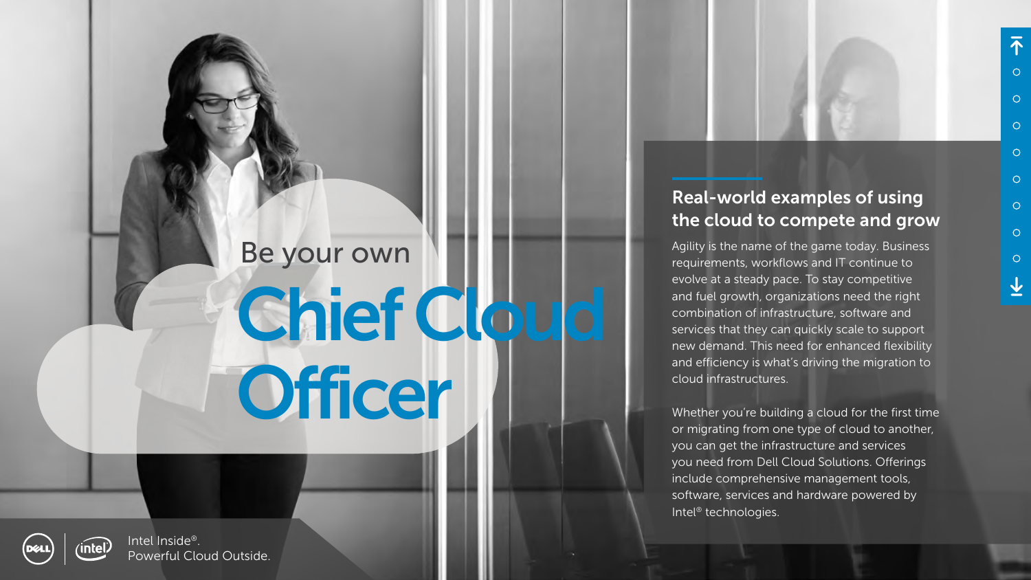#### Real-world examples of using the cloud to compete and grow

Agility is the name of the game today. Business requirements, workflows and IT continue to evolve at a steady pace. To stay competitive and fuel growth, organizations need the right combination of infrastructure, software and services that they can quickly scale to support new demand. This need for enhanced flexibility and efficiency is what's driving the migration to cloud infrastructures.

# Be your own Chief Cloud **Officer**



Whether you're building a cloud for the first time or migrating from one type of cloud to another, you can get the infrastructure and services you need from Dell Cloud Solutions. Offerings include comprehensive management tools, software, services and hardware powered by Intel® technologies.

Intel Inside®. Powerful Cloud Outside.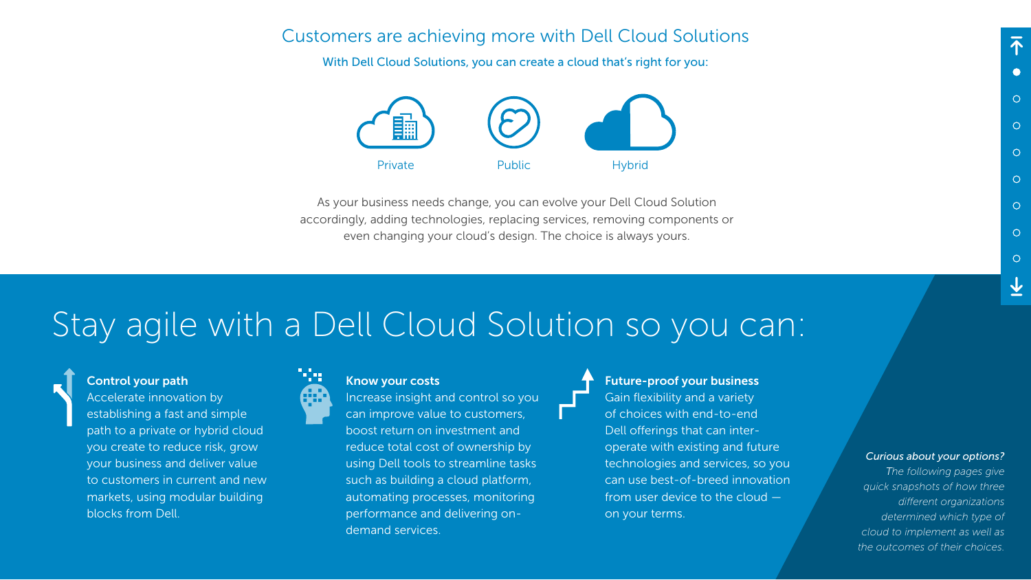#### Control your path

Accelerate innovation by establishing a fast and simple path to a private or hybrid cloud you create to reduce risk, grow your business and deliver value to customers in current and new markets, using modular building blocks from Dell.



#### Know your costs

Increase insight and control so you can improve value to customers, boost return on investment and reduce total cost of ownership by using Dell tools to streamline tasks such as building a cloud platform, automating processes, monitoring performance and delivering ondemand services.

Future-proof your business Gain flexibility and a variety of choices with end-to-end Dell offerings that can interoperate with existing and future technologies and services, so you can use best-of-breed innovation from user device to the cloud on your terms.

### Stay agile with a Dell Cloud Solution so you can:



#### Customers are achieving more with Dell Cloud Solutions

With Dell Cloud Solutions, you can create a cloud that's right for you:

As your business needs change, you can evolve your Dell Cloud Solution accordingly, adding technologies, replacing services, removing components or even changing your cloud's design. The choice is always yours.



#### *Curious about your options?*

*The following pages give quick snapshots of how three different organizations determined which type of cloud to implement as well as the outcomes of their choices.*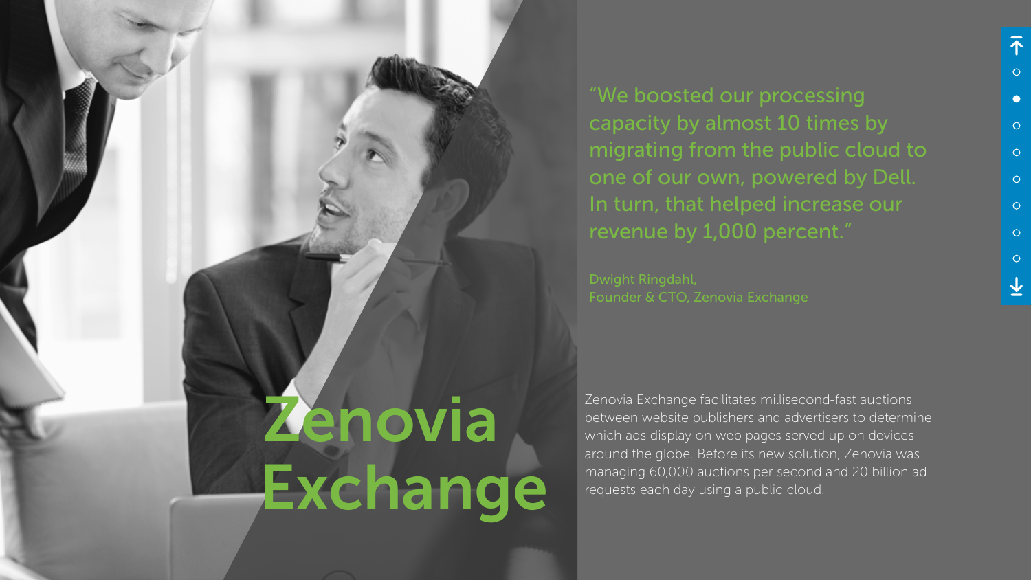Zenovia Exchange

Zenovia Exchange facilitates millisecond-fast auctions between website publishers and advertisers to determine which ads display on web pages served up on devices around the globe. Before its new solution, Zenovia was managing 60,000 auctions per second and 20 billion ad requests each day using a public cloud.

"We boosted our processing capacity by almost 10 times by migrating from the public cloud to one of our own, powered by Dell. In turn, that helped increase our revenue by 1,000 percent."

Dwight Ringdahl, Founder & CTO, Zenovia Exchange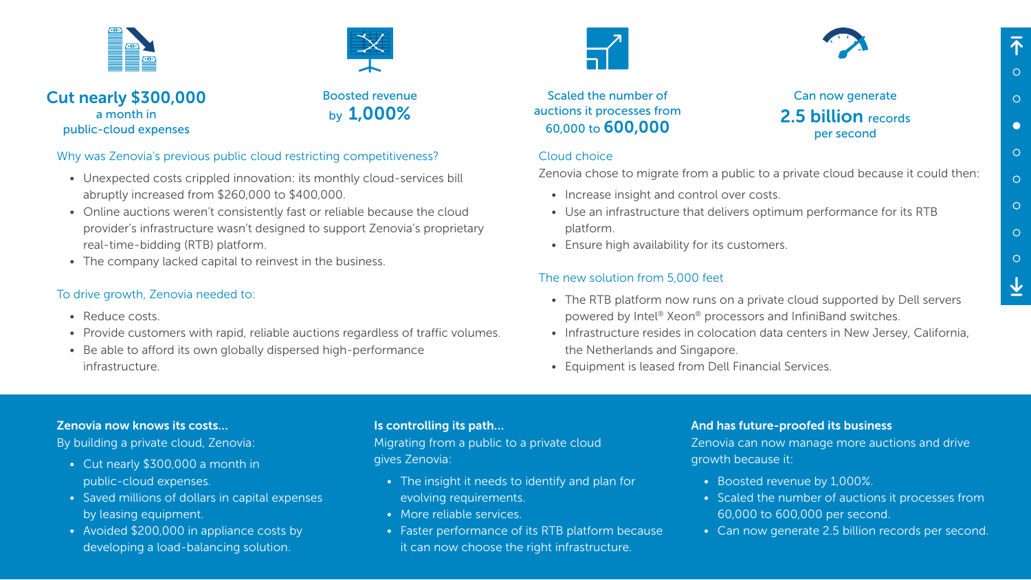#### Why was Zenovia's previous public cloud restricting competitiveness?

- Unexpected costs crippled innovation: its monthly cloud-services bill abruptly increased from \$260,000 to \$400,000.
- Online auctions weren't consistently fast or reliable because the cloud provider's infrastructure wasn't designed to support Zenovia's proprietary real-time-bidding (RTB) platform.
- The company lacked capital to reinvest in the business.

- Reduce costs.
- Provide customers with rapid, reliable auctions regardless of traffic volumes.
- Be able to afford its own globally dispersed high-performance infrastructure.



#### To drive growth, Zenovia needed to:

• The RTB platform now runs on a private cloud supported by Dell servers powered by Intel® Xeon® processors and InfiniBand switches.

#### Cloud choice

Zenovia chose to migrate from a public to a private cloud because it could then:

• Use an infrastructure that delivers optimum performance for its RTB

- Increase insight and control over costs.
- platform.
- Ensure high availability for its customers.

#### The new solution from 5,000 feet

• Infrastructure resides in colocation data centers in New Jersey, California,

- 
- the Netherlands and Singapore.
- 

• Equipment is leased from Dell Financial Services.

#### Scaled the number of auctions it processes from 60,000 to 600,000

Boosted revenue by 1,000%

#### Can now generate 2.5 **billion** records per second







#### Zenovia now knows its costs…

By building a private cloud, Zenovia:

- Cut nearly \$300,000 a month in public-cloud expenses.
- Saved millions of dollars in capital expenses by leasing equipment.
- Avoided \$200,000 in appliance costs by developing a load-balancing solution.

#### Is controlling its path…

Migrating from a public to a private cloud gives Zenovia:

- The insight it needs to identify and plan for evolving requirements.
- More reliable services.
- Faster performance of its RTB platform because it can now choose the right infrastructure.



#### And has future-proofed its business

Zenovia can now manage more auctions and drive growth because it:

- Boosted revenue by 1,000%.
- Scaled the number of auctions it processes from 60,000 to 600,000 per second.
- Can now generate 2.5 billion records per second.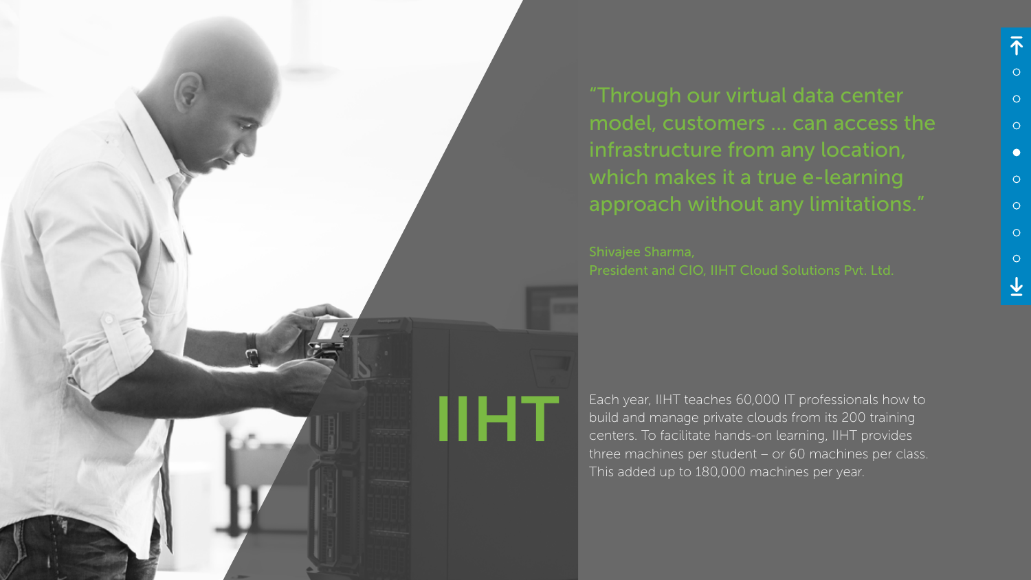Each year, IIHT teaches 60,000 IT professionals how to<br>build and manage private clouds from its 200 training<br>centers. To facilitate hands-on learning, IIHT provides<br>three machines per student or 60 machines per class build and manage private clouds from its 200 training centers. To facilitate hands-on learning, IIHT provides three machines per student – or 60 machines per class. This added up to 180,000 machines per year.



"Through our virtual data center model, customers … can access the infrastructure from any location, which makes it a true e-learning approach without any limitations."

Shivajee Sharma, President and CIO, IIHT Cloud Solutions Pvt. Ltd.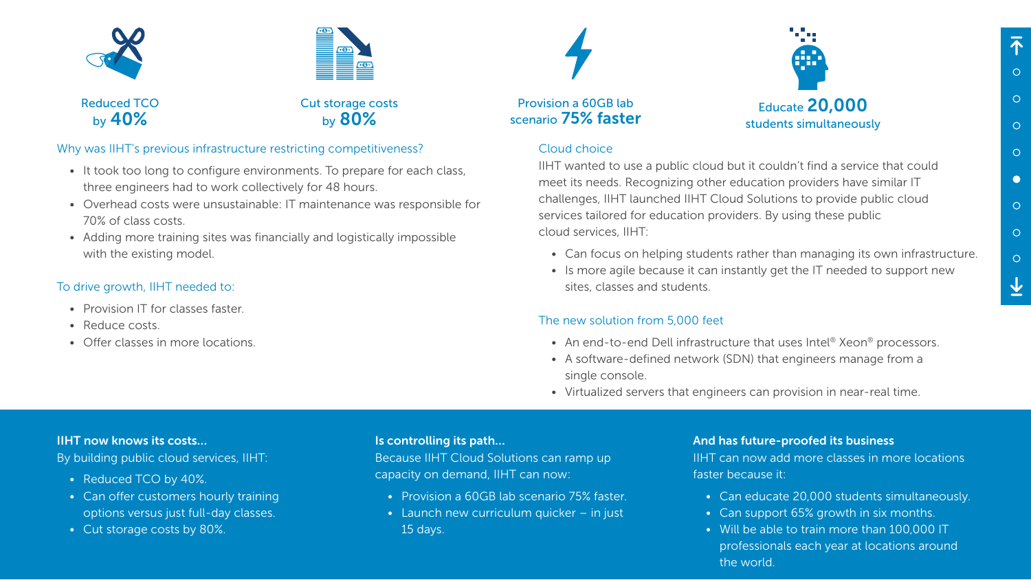#### Why was IIHT's previous infrastructure restricting competitiveness?

- It took too long to configure environments. To prepare for each class, three engineers had to work collectively for 48 hours.
- Overhead costs were unsustainable: IT maintenance was responsible for 70% of class costs.
- Adding more training sites was financially and logistically impossible with the existing model.

#### To drive growth, IIHT needed to:

- Provision IT for classes faster.
- Reduce costs.
- Offer classes in more locations.

#### Cloud choice

• An end-to-end Dell infrastructure that uses Intel<sup>®</sup> Xeon<sup>®</sup> processors. • A software-defined network (SDN) that engineers manage from a

IIHT wanted to use a public cloud but it couldn't find a service that could meet its needs. Recognizing other education providers have similar IT challenges, IIHT launched IIHT Cloud Solutions to provide public cloud services tailored for education providers. By using these public cloud services, IIHT:

• Can focus on helping students rather than managing its own infrastructure. • Is more agile because it can instantly get the IT needed to support new

- 
- sites, classes and students.

#### The new solution from 5,000 feet

- 
- single console.
- 

• Virtualized servers that engineers can provision in near-real time.

#### IIHT now knows its costs…

By building public cloud services, IIHT:

- Reduced TCO by 40%.
- Can offer customers hourly training options versus just full-day classes.
- Cut storage costs by 80%.

#### Is controlling its path…

Because IIHT Cloud Solutions can ramp up capacity on demand, IIHT can now:

- Provision a 60GB lab scenario 75% faster.
- Launch new curriculum quicker in just 15 days.

And has future-proofed its business IIHT can now add more classes in more locations faster because it:

- Can educate 20,000 students simultaneously.
- Can support 65% growth in six months.
- Will be able to train more than 100,000 IT professionals each year at locations around the world.

Cut storage costs by 80%





Reduced TCO by 40%

## Provision a 60GB lab

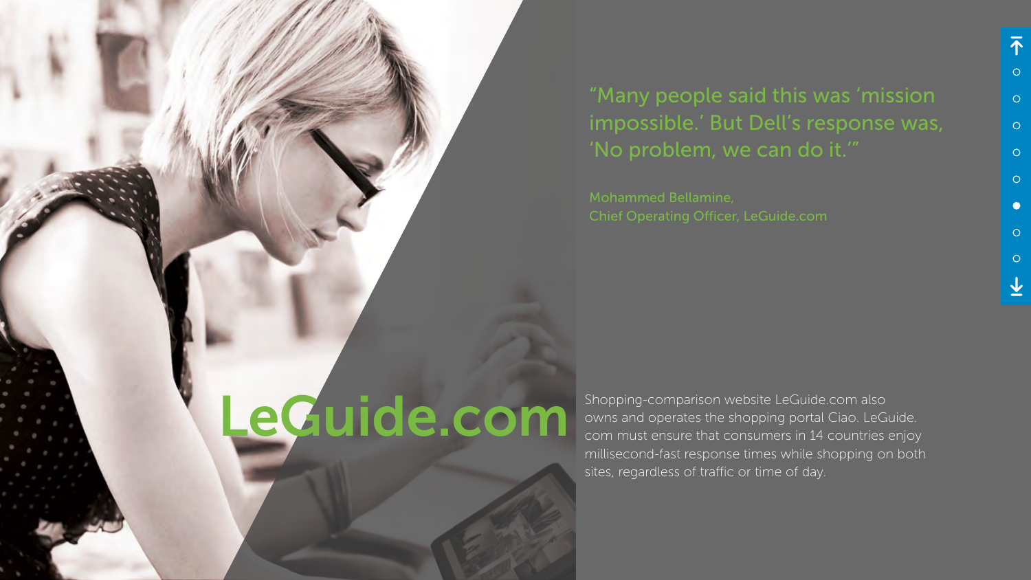owns and operates the shopping portal Ciao. LeGuide. com must ensure that consumers in 14 countries enjoy millisecond-fast response times while shopping on both sites, regardless of traffic or time of day.

### "Many people said this was 'mission impossible.' But Dell's response was, 'No problem, we can do it.'"

Mohammed Bellamine, Chief Operating Officer, LeGuide.com

# Shopping-comparison website LeGuide.com also<br>commust ensure that consumers in 14 countries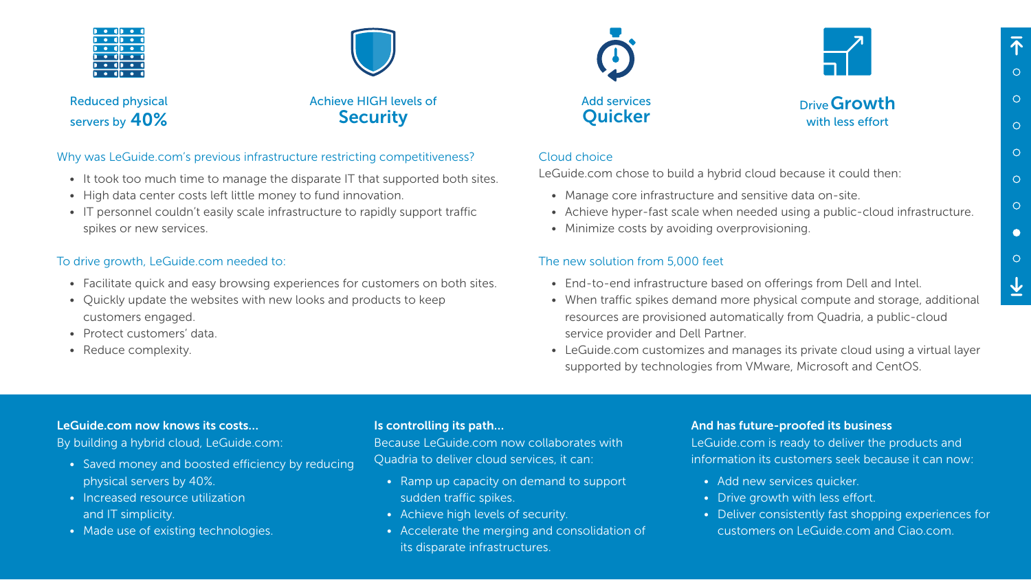#### Why was LeGuide.com's previous infrastructure restricting competitiveness?

- It took too much time to manage the disparate IT that supported both sites.
- High data center costs left little money to fund innovation.
- IT personnel couldn't easily scale infrastructure to rapidly support traffic spikes or new services.

#### To drive growth, LeGuide.com needed to:

- Facilitate quick and easy browsing experiences for customers on both sites.
- Quickly update the websites with new looks and products to keep customers engaged.
- Protect customers' data.
- Reduce complexity.

#### Cloud choice

LeGuide.com chose to build a hybrid cloud because it could then:

- Manage core infrastructure and sensitive data on-site.
- 
- Achieve hyper-fast scale when needed using a public-cloud infrastructure. • Minimize costs by avoiding overprovisioning.

#### The new solution from 5,000 feet

Achieve HIGH levels of **Security** 



Reduced physical servers by  $40%$ 



- End-to-end infrastructure based on offerings from Dell and Intel.
- When traffic spikes demand more physical compute and storage, additional resources are provisioned automatically from Quadria, a public-cloud service provider and Dell Partner.
- LeGuide.com customizes and manages its private cloud using a virtual layer supported by technologies from VMware, Microsoft and CentOS.

#### Add services<br> **Quicker** Drive Growth<br>
Drive Growth with less effort

#### LeGuide.com now knows its costs…

By building a hybrid cloud, LeGuide.com:

- Saved money and boosted efficiency by reducing physical servers by 40%.
- Increased resource utilization and IT simplicity.
- Made use of existing technologies.

#### Is controlling its path…

Because LeGuide.com now collaborates with Quadria to deliver cloud services, it can:

- Ramp up capacity on demand to support sudden traffic spikes.
- Achieve high levels of security.
- Accelerate the merging and consolidation of its disparate infrastructures.



#### And has future-proofed its business

LeGuide.com is ready to deliver the products and information its customers seek because it can now:

- Add new services quicker.
- Drive growth with less effort.
- Deliver consistently fast shopping experiences for customers on LeGuide.com and Ciao.com.

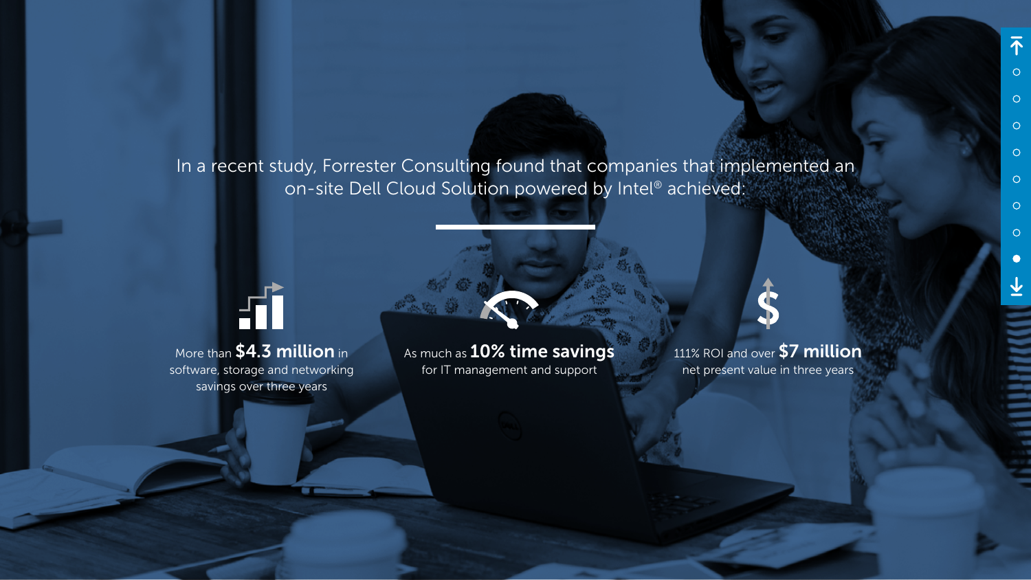In a recent study, Forrester Consulting found that companies that implemented an on-site Dell Cloud Solution powered by Intel® achieved:



As much as 10% time savings for IT management and support



More than \$4.3 million in software, storage and networking savings over three years

111% ROI and over \$7 million net present value in three years